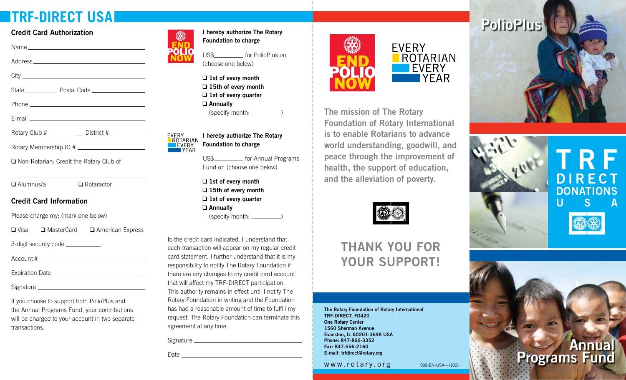# **TRF-DIRECT USA**

#### **Credit Card Authorization**

| State Postal Code                                         |
|-----------------------------------------------------------|
|                                                           |
|                                                           |
| Rotary Club # _________________ District # ______________ |

Rotary Membership ID #

□ Non-Rotarian: Credit the Rotary Club of

 $\Box$  Alumnus/a  $\Box$  Rotaractor

#### **Credit Card Information**

Please charge my: (mark one below)

 $\Box$  Visa  $\Box$  MasterCard  $\Box$  American Express

3-digit security code

Account #

Expiration Date

Signature

If you choose to support both PolioPlus and the Annual Programs Fund, your contributions will be charged to your account in two separate transactions.



**I hereby authorize The Rotary Foundation to charge** 

US\$\_\_\_\_\_\_\_\_\_\_\_\_\_ for PolioPlus on (choose one below)

□ 1st of every month □ 15th of every month □ 1st of every quarter T **Annually**  $(specify month:$   $\qquad \qquad$ 

EVERY<br>ROTARIAN **I hereby authorize The Rotary Foundation to charge**  EVERY **TYFAR** 

> US\$\_\_\_\_\_\_\_\_\_\_\_\_ for Annual Programs Fund on (choose one below)

□ 1st of every month □ 15th of every month □ 1st of every quarter T **Annually**  $(specify month:$   $\qquad \qquad$ 

to the credit card indicated. I understand that each transaction will appear on my regular credit card statement. I further understand that it is my responsibility to notify The Rotary Foundation if there are any changes to my credit card account that will affect my TRF-DIRECT participation. This authority remains in effect until I notify The Rotary Foundation in writing and the Foundation has had a reasonable amount of time to fulfill my request. The Rotary Foundation can terminate this agreement at any time.

Signature

Date and the contract of the contract of the contract of the contract of the contract of the contract of the contract of the contract of the contract of the contract of the contract of the contract of the contract of the c





**The mission of The Rotary Foundation of Rotary International is to enable Rotarians to advance world understanding, goodwill, and peace through the improvement of health, the support of education, and the alleviation of poverty.** 



# **THANK YOU FOR YOUR SUPPORT!**

**The Rotary Foundation of Rotary International TRF-DIRECT, FD420 One Rotary Center 1560 Sherman Avenue Evanston, IL 60201-3698 USA Phone: 847-866-3352 Fax: 847-556-2160 E-mail: trfdirect@rotary.org**

www.rotary.org 998-EN-USA-(109)





**Annual Programs Fund**